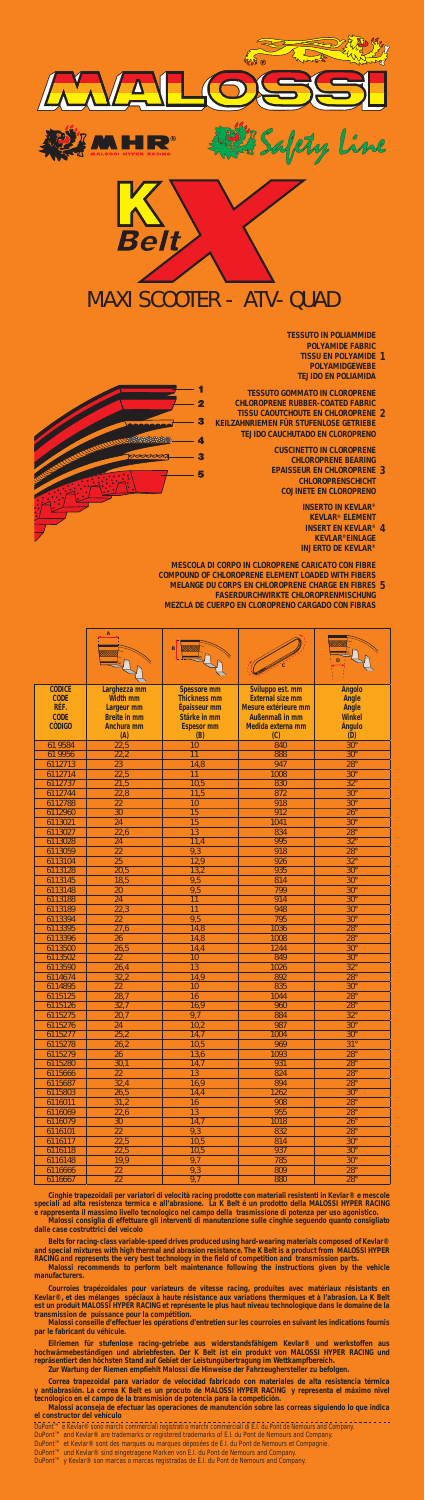| 6115803 | 26,5 | 14,4            | 1262 | $30^\circ$ |
|---------|------|-----------------|------|------------|
| 6116011 | 31,2 | 16 <sup>1</sup> | 908  | <b>28°</b> |
| 6116069 | 22,6 | 13              | 955  | $28^\circ$ |
| 6116079 | 30   | 14.             | 1018 | $26^\circ$ |
| 6116101 | 22   | 9,3             | 832  | $28^\circ$ |
| 6116117 | 22,5 | 10,5            | 814  | $30^\circ$ |
| 6116118 | 22,5 | 10,5            | 937  | $30^\circ$ |
| 6116148 | 19.9 | 9.1             | 785  | $30^\circ$ |
| 6116666 | 22   | 9,3             | 809  | $28^\circ$ |
| 6116667 | 22   | 9 <sub>n</sub>  | 880  | $28^\circ$ |

Cinghie trapezoidali per variatori di velocità racing prodotte con materiali resistenti in Kevlar® e mescole<br>speciali ad alta resistenza termica e all'abrasione. La K Belt é un prodotto della MALOSSI HYPER RACING<br>e rappres

Belts for racing-class variable-speed drives produced using hard-wearing materials composed of Kevlar®<br>and special mixtures with high thermal and abrasion resistance. The K Belt is a product from MALOSSI HYPER<br>RACING and r

manufacturers.

Courroies trapézoidales pour variateurs de vitesse racing, produites avec matériaux résistants en<br>Kevlar®, et des mélanges spéciaux à baute résistance aux variations thermiques et à l'abrasion. La K Belt<br>est un produit MAL

Eilriemen für stufenlose racing-getriebe aus widerstandsfähigem Kevlar® und werkstoffen aus<br>hochwärmebeständigen und abriebfesten. Der K Belt ist ein produkt von MALOSSI HYPER RACING und<br>repräsentiert den höchsten Stand au

Correa trapezoidal para variador de velocidad fabricado con materiales de alta resistencia térmica<br>y antiabrasión. La correa K Belt es un procuto de MALOSSI HYPER RACING y representa el máximo nivel<br>tecnólogico en el campo

|                              | <u>VA</u>                         |                                                                                 |                                                                                                                                                              |                                                                                                |  |  |
|------------------------------|-----------------------------------|---------------------------------------------------------------------------------|--------------------------------------------------------------------------------------------------------------------------------------------------------------|------------------------------------------------------------------------------------------------|--|--|
|                              |                                   |                                                                                 |                                                                                                                                                              |                                                                                                |  |  |
|                              |                                   |                                                                                 |                                                                                                                                                              | afety line                                                                                     |  |  |
|                              |                                   |                                                                                 |                                                                                                                                                              |                                                                                                |  |  |
|                              |                                   |                                                                                 |                                                                                                                                                              |                                                                                                |  |  |
|                              | Belt                              |                                                                                 |                                                                                                                                                              |                                                                                                |  |  |
|                              |                                   |                                                                                 |                                                                                                                                                              |                                                                                                |  |  |
|                              |                                   |                                                                                 | <b>MAXI SCOOTER - ATV-QUAD</b>                                                                                                                               |                                                                                                |  |  |
|                              |                                   |                                                                                 |                                                                                                                                                              | <b>TESSUTO IN POLIAMMIDE</b>                                                                   |  |  |
|                              |                                   | <b>POLYAMIDE FABRIC</b><br><b>TISSU EN POLYAMIDE 1</b><br><b>POLYAMIDGEWEBE</b> |                                                                                                                                                              |                                                                                                |  |  |
|                              |                                   |                                                                                 | <b>TESSUTO GOMMATO IN CLOROPRENE</b><br><b>CHLOROPRENE RUBBER-COATED FABRIC</b>                                                                              | <b>TEJIDO EN POLIAMIDA</b>                                                                     |  |  |
|                              |                                   | 2<br>3                                                                          | <b>TISSU CAOUTCHOUTE EN CHLOROPRENE 2</b><br><b>KEILZAHNRIEMEN FÜR STUFENLOSE GETRIEBE</b>                                                                   |                                                                                                |  |  |
|                              |                                   | 4<br>3                                                                          | <b>TEJIDO CAUCHUTADO EN CLOROPRENO</b>                                                                                                                       | <b>CUSCINETTO IN CLOROPRENE</b><br><b>CHLOROPRENE BEARING</b>                                  |  |  |
|                              |                                   | 5                                                                               |                                                                                                                                                              | <b>EPAISSEUR EN CHLOROPRENE 3</b><br><b>CHLOROPRENSCHICHT</b><br><b>COJINETE EN CLOROPRENO</b> |  |  |
|                              |                                   |                                                                                 |                                                                                                                                                              | <b>INSERTO IN KEVLAR®</b><br><b>KEVLAR<sup>®</sup> ELEMENT</b>                                 |  |  |
|                              |                                   |                                                                                 |                                                                                                                                                              | <b>INSERT EN KEVLAR<sup>®</sup> 4</b><br><b>KEVLAR®EINLAGE</b><br><b>INJERTO DE KEVLAR®</b>    |  |  |
|                              |                                   |                                                                                 |                                                                                                                                                              |                                                                                                |  |  |
|                              |                                   |                                                                                 | <b>MESCOLA DI CORPO IN CLOROPRENE CARICATO CON FIBRE</b><br><b>COMPOUND OF CHLOROPRENE ELEMENT LOADED WITH FIBERS</b>                                        |                                                                                                |  |  |
|                              |                                   |                                                                                 | MELANGE DU CORPS EN CHLOROPRENE CHARGE EN FIBRES 5<br><b>FASERDURCHWIRKTE CHLOROPRENMISCHUNG</b><br><b>MEZCLA DE CUERPO EN CLOROPRENO CARGADO CON FIBRAS</b> |                                                                                                |  |  |
|                              | $\boldsymbol{\mathsf{A}}$         |                                                                                 |                                                                                                                                                              |                                                                                                |  |  |
|                              |                                   | Ŕ                                                                               |                                                                                                                                                              | D                                                                                              |  |  |
| <b>CODICE</b>                | Larghezza mm                      | <b>Spessore mm</b>                                                              | Sviluppo est. mm                                                                                                                                             | <b>Angolo</b>                                                                                  |  |  |
| <b>CODE</b><br>RÉF.          | Width mm<br>Largeur mm            | <b>Thickness mm</b><br>Épaisseur mm                                             | <b>External size mm</b><br>Mesure extérieure mm                                                                                                              | <b>Angle</b><br>Angle                                                                          |  |  |
| <b>CODE</b><br><b>CÒDIGO</b> | <b>Breite in mm</b><br>Anchura mm | Stärke in mm<br><b>Espesor mm</b>                                               | Außenmaß in mm<br>Medida externa mm                                                                                                                          | <b>Winkel</b><br>Ángulo                                                                        |  |  |
| 61 9584                      | (A)<br>22,5                       | (B)<br>10                                                                       | (C)<br>840                                                                                                                                                   | (D)<br>$30^\circ$                                                                              |  |  |
| 61 9956                      | 22,2                              | 11                                                                              | 888<br>947                                                                                                                                                   | $30^\circ$                                                                                     |  |  |
| 6112713<br>6112714           | $\overline{23}$<br>22,5           | 14,8<br>11                                                                      | 1008                                                                                                                                                         | $28^\circ$<br>$30^\circ$                                                                       |  |  |
| 6112737<br>6112744           | 21,5<br>22,8                      | 10,5<br>11,5                                                                    | 830<br>872                                                                                                                                                   | $32^\circ$<br>$30^\circ$                                                                       |  |  |
| 6112788                      | 22                                | 10                                                                              | 918                                                                                                                                                          | $30^\circ$                                                                                     |  |  |
| 6112960<br>6113021           | 30<br>24                          | 15<br>15                                                                        | 912<br>1041                                                                                                                                                  | $26^\circ$<br>$30^\circ$                                                                       |  |  |
| 6113027<br>6113028           | 22,6<br>24                        | 13<br>11,4                                                                      | 834<br>995                                                                                                                                                   | $28^\circ$<br>$\overline{32^{\circ}}$                                                          |  |  |
| 6113059                      | $\overline{22}$                   | 9,3                                                                             | 918                                                                                                                                                          | $28^\circ$                                                                                     |  |  |
| 6113104<br>6113128           | 25<br>20,5                        | 12,9<br>13,2                                                                    | 926<br>935                                                                                                                                                   | $32^{\circ}$<br>$30^\circ$                                                                     |  |  |
| 6113145                      | 18,5<br>20                        | 9,5                                                                             | 814<br>799                                                                                                                                                   | $30^\circ$<br>$30^\circ$                                                                       |  |  |
| 6113148<br>6113188           | $\overline{24}$                   | 9,5<br>$\overline{11}$                                                          | 914                                                                                                                                                          | $30^\circ$                                                                                     |  |  |
| 6113189<br>6113394           | 22,3<br>22                        | 11<br>9,5                                                                       | 948<br>795                                                                                                                                                   | $30^\circ$<br>$30^\circ$                                                                       |  |  |
| 6113395                      | $\overline{27,6}$                 | 14,8                                                                            | 1036                                                                                                                                                         | $28^\circ$                                                                                     |  |  |
| 6113396<br>6113500           | 26<br>26,5                        | 14,8<br>14,4                                                                    | 1008<br>1244                                                                                                                                                 | $28^\circ$<br>$30^\circ$                                                                       |  |  |
| 6113502                      | 22                                | 10                                                                              | 849                                                                                                                                                          | $30^\circ$                                                                                     |  |  |
| 6113590<br>6114674           | 26,4<br>32,2                      | 13<br>14,9                                                                      | 1026<br>892                                                                                                                                                  | $32^\circ$<br>$28^\circ$                                                                       |  |  |
| 6114895<br>6115125           | 22<br>28,7                        | 10<br>16                                                                        | 835<br>1044                                                                                                                                                  | $30^\circ$<br>$28^\circ$                                                                       |  |  |
| 6115126                      | 32,7                              | 16,9                                                                            | 960                                                                                                                                                          | $28^\circ$                                                                                     |  |  |
| 6115275<br>6115276           | 20,7<br>24                        | 9.7<br>10,2                                                                     | 884<br>987                                                                                                                                                   | $32^\circ$<br>$30^\circ$                                                                       |  |  |
| 6115277                      | 25,2                              | 14,7                                                                            | 1004                                                                                                                                                         | $30^\circ$                                                                                     |  |  |
| 6115278<br>6115279           | 26,2<br>26                        | 10,5<br>13,6                                                                    | 969<br>1093                                                                                                                                                  | $31^\circ$<br>$28^\circ$                                                                       |  |  |
| 6115280<br>6115666           | 30,1<br>22                        | 14,7<br>13                                                                      | 931<br>824                                                                                                                                                   | $28^\circ$<br>$28^\circ$                                                                       |  |  |

*DuPont™ e Kevlar® sono marchi commerciali registrati o marchi commerciali di E.I. du Pont de Nemours and Company.*

DuPont™ and Kevlar® are trademarks or registered trademarks of E.I. du Pont de Nemours and Company.<br>DuPont™ et Kevlar® sont des marques ou marques déposées de E.I. du Pont de Nemours et Compagnie.<br>DuPont™ und Kevlar® sin